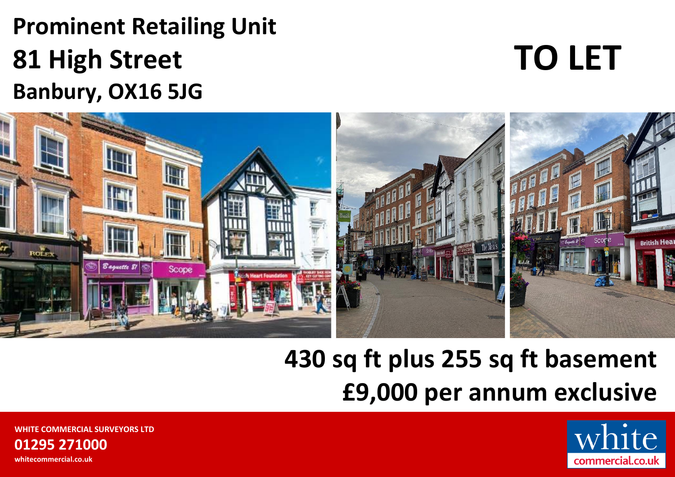# **Prominent Retailing Unit 81 High Street Banbury, OX16 5JG**

# **TO LET**



# **430 sq ft plus 255 sq ft basement £9,000 per annum exclusive**



**WHITE COMMERCIAL SURVEYORS LTD 01295 271000 whitecommercial.co.uk**